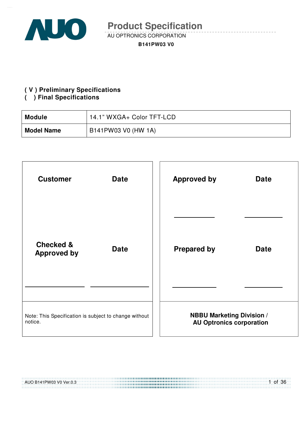

AU OPTRONICS CORPORATION

**B141PW03 V0** 

#### **( V ) Preliminary Specifications**

#### **( ) Final Specifications**

| <b>Module</b>     | 14.1" WXGA+ Color TFT-LCD |
|-------------------|---------------------------|
| <b>Model Name</b> | B141PW03 V0 (HW 1A)       |

| <b>Customer</b>                                                  | <b>Date</b> | <b>Approved by</b><br><b>Date</b>                                   |
|------------------------------------------------------------------|-------------|---------------------------------------------------------------------|
|                                                                  |             |                                                                     |
| <b>Checked &amp;</b><br><b>Approved by</b>                       | <b>Date</b> | <b>Prepared by</b><br><b>Date</b>                                   |
|                                                                  |             |                                                                     |
| Note: This Specification is subject to change without<br>notice. |             | <b>NBBU Marketing Division /</b><br><b>AU Optronics corporation</b> |

| AUO B141PW03 V0 Ver.0.3 | $1$ of 36 |
|-------------------------|-----------|
|                         |           |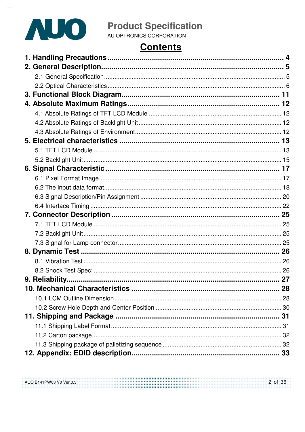

# **Contents**

| AUO B141PW03 V0 Ver.0.3 | 2 of 36 |
|-------------------------|---------|
|                         |         |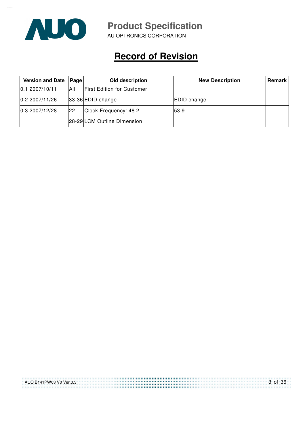

AU OPTRONICS CORPORATION

# **Record of Revision**

| Version and Date | Page | Old description                   | <b>New Description</b> | Remark |
|------------------|------|-----------------------------------|------------------------|--------|
| 0.12007/10/11    | All  | <b>First Edition for Customer</b> |                        |        |
| 0.2 2007/11/26   |      | $ 33-36 $ EDID change             | EDID change            |        |
| 0.3 2007/12/28   | 22   | Clock Frequency: 48.2             | 53.9                   |        |
|                  |      | 28-29 LCM Outline Dimension       |                        |        |

| AUO B141PW03 V0 Ver.0.3 | 3 of 36 |
|-------------------------|---------|
|                         |         |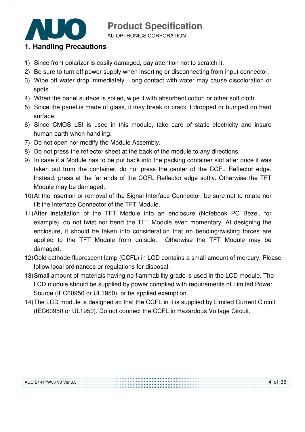AU OPTRONICS CORPORATION

### **1. Handling Precautions**

- 1) Since front polarizer is easily damaged, pay attention not to scratch it.
- 2) Be sure to turn off power supply when inserting or disconnecting from input connector.
- 3) Wipe off water drop immediately. Long contact with water may cause discoloration or spots.
- 4) When the panel surface is soiled, wipe it with absorbent cotton or other soft cloth.
- 5) Since the panel is made of glass, it may break or crack if dropped or bumped on hard surface.
- 6) Since CMOS LSI is used in this module, take care of static electricity and insure human earth when handling.
- 7) Do not open nor modify the Module Assembly.
- 8) Do not press the reflector sheet at the back of the module to any directions.
- 9) In case if a Module has to be put back into the packing container slot after once it was taken out from the container, do not press the center of the CCFL Reflector edge. Instead, press at the far ends of the CCFL Reflector edge softly. Otherwise the TFT Module may be damaged.
- 10) At the insertion or removal of the Signal Interface Connector, be sure not to rotate nor tilt the Interface Connector of the TFT Module.
- 11) After installation of the TFT Module into an enclosure (Notebook PC Bezel, for example), do not twist nor bend the TFT Module even momentary. At designing the enclosure, it should be taken into consideration that no bending/twisting forces are applied to the TFT Module from outside. Otherwise the TFT Module may be damaged.
- 12) Cold cathode fluorescent lamp (CCFL) in LCD contains a small amount of mercury. Please follow local ordinances or regulations for disposal.
- 13) Small amount of materials having no flammability grade is used in the LCD module. The LCD module should be supplied by power complied with requirements of Limited Power Source (IEC60950 or UL1950), or be applied exemption.
- 14) The LCD module is designed so that the CCFL in it is supplied by Limited Current Circuit (IEC60950 or UL1950). Do not connect the CCFL in Hazardous Voltage Circuit.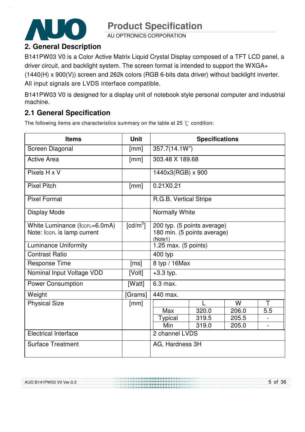AU OPTRONICS CORPORATION

### **2. General Description**

B141PW03 V0 is a Color Active Matrix Liquid Crystal Display composed of a TFT LCD panel, a driver circuit, and backlight system. The screen format is intended to support the WXGA+ (1440(H) x 900(V)) screen and 262k colors (RGB 6-bits data driver) without backlight inverter. All input signals are LVDS interface compatible.

B141PW03 V0 is designed for a display unit of notebook style personal computer and industrial machine.

### **2.1 General Specification**

The following items are characteristics summary on the table at 25  $\degree$ C condition:

| <b>Items</b>                  | <b>Unit</b>            | <b>Specifications</b>                  |       |       |     |
|-------------------------------|------------------------|----------------------------------------|-------|-------|-----|
| Screen Diagonal               | [mm]                   | 357.7(14.1W")                          |       |       |     |
| <b>Active Area</b>            | [mm]                   | 303.48 X 189.68                        |       |       |     |
| Pixels H x V                  |                        | 1440x3(RGB) x 900                      |       |       |     |
| <b>Pixel Pitch</b>            | [mm]                   | 0.21X0.21                              |       |       |     |
| <b>Pixel Format</b>           |                        | R.G.B. Vertical Stripe                 |       |       |     |
| <b>Display Mode</b>           |                        | Normally White                         |       |       |     |
| White Luminance (IccFL=6.0mA) | $\lceil cd/m^2 \rceil$ | 200 typ. (5 points average)            |       |       |     |
| Note: IccFL is lamp current   |                        | 180 min. (5 points average)<br>(Note1) |       |       |     |
| <b>Luminance Uniformity</b>   |                        | 1.25 max. (5 points)                   |       |       |     |
| <b>Contrast Ratio</b>         |                        | 400 typ                                |       |       |     |
| <b>Response Time</b>          | [ms]                   | 8 typ / 16Max                          |       |       |     |
| Nominal Input Voltage VDD     | [Volt]                 | $+3.3$ typ.                            |       |       |     |
| <b>Power Consumption</b>      | [Watt]                 | 6.3 max.                               |       |       |     |
| Weight                        | [Grams]                | 440 max.                               |       |       |     |
| <b>Physical Size</b>          | [mm]                   |                                        |       | W     | Т   |
|                               |                        | Max                                    | 320.0 | 206.0 | 5.5 |
|                               |                        | <b>Typical</b>                         | 319.5 | 205.5 |     |
|                               |                        | Min                                    | 319.0 | 205.0 |     |
| <b>Electrical Interface</b>   |                        | 2 channel LVDS                         |       |       |     |
| <b>Surface Treatment</b>      |                        | AG, Hardness 3H                        |       |       |     |

AUO B141PW03 V0 Ver.0.3

5 of 36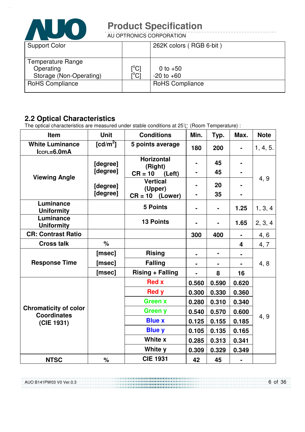

AU OPTRONICS CORPORATION

| <b>Support Color</b>                                             |                                           | 262K colors (RGB 6-bit)      |
|------------------------------------------------------------------|-------------------------------------------|------------------------------|
| <b>Temperature Range</b><br>Operating<br>Storage (Non-Operating) | $\rm \stackrel{[^{\circ}C]}{[^{\circ}C]}$ | 0 to $+50$<br>$-20$ to $+60$ |
| <b>RoHS Compliance</b>                                           |                                           | <b>RoHS Compliance</b>       |

### **2.2 Optical Characteristics**

AUO B141PW03 V0 Ver.0.3

The optical characteristics are measured under stable conditions at 25°C (Room Temperature) :

| Item                                               | <b>Unit</b> | <b>Conditions</b>            | Min.           | Typ.           | Max.                    | <b>Note</b> |
|----------------------------------------------------|-------------|------------------------------|----------------|----------------|-------------------------|-------------|
| <b>White Luminance</b><br>$lccFL=6.0mA$            | $[cd/m^2]$  | 5 points average             | 180            | 200            | $\blacksquare$          | 1, 4, 5.    |
|                                                    | [degree]    | <b>Horizontal</b><br>(Right) |                | 45             |                         |             |
| <b>Viewing Angle</b>                               | [degree]    | $CR = 10$<br>(Left)          | $\blacksquare$ | 45             |                         | 4, 9        |
|                                                    | [degree]    | <b>Vertical</b><br>(Upper)   |                | 20             | $\blacksquare$          |             |
|                                                    | [degree]    | $CR = 10$ (Lower)            | -              | 35             | $\blacksquare$          |             |
| Luminance<br><b>Uniformity</b>                     |             | <b>5 Points</b>              | $\blacksquare$ |                | 1.25                    | 1, 3, 4     |
| Luminance<br><b>Uniformity</b>                     |             | <b>13 Points</b>             |                |                | 1.65                    | 2, 3, 4     |
| <b>CR: Contrast Ratio</b>                          |             |                              | 300            | 400            | $\blacksquare$          | 4, 6        |
| <b>Cross talk</b>                                  | $\%$        |                              |                |                | $\overline{\mathbf{4}}$ | 4, 7        |
|                                                    | [msec]      | <b>Rising</b>                |                | $\blacksquare$ |                         |             |
| <b>Response Time</b>                               | [msec]      | <b>Falling</b>               |                |                |                         | 4, 8        |
|                                                    | [msec]      | <b>Rising + Falling</b>      |                | 8              | 16                      |             |
|                                                    |             | <b>Red x</b>                 | 0.560          | 0.590          | 0.620                   |             |
|                                                    |             | <b>Red y</b>                 | 0.300          | 0.330          | 0.360                   |             |
|                                                    |             | <b>Green x</b>               | 0.280          | 0.310          | 0.340                   |             |
| <b>Chromaticity of color</b><br><b>Coordinates</b> |             | <b>Green y</b>               | 0.540          | 0.570          | 0.600                   |             |
| (CIE 1931)                                         |             | <b>Blue x</b>                | 0.125          | 0.155          | 0.185                   | 4, 9        |
|                                                    |             | <b>Blue y</b>                | 0.105          | 0.135          | 0.165                   |             |
|                                                    |             | White x                      | 0.285          | 0.313          | 0.341                   |             |
|                                                    |             | White y                      | 0.309          | 0.329          | 0.349                   |             |
| <b>NTSC</b>                                        | %           | <b>CIE 1931</b>              | 42             | 45             |                         |             |

6 of 36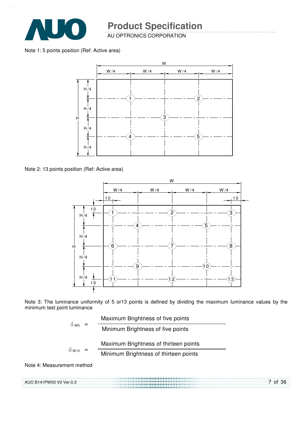

AU OPTRONICS CORPORATION

Note 1: 5 points position (Ref: Active area)



Note 2: 13 points position (Ref: Active area)



Note 3: The luminance uniformity of 5 or13 points is defined by dividing the maximum luminance values by the minimum test point luminance

$$
\delta_{\text{ws}} = \frac{\text{Maximum brightness of five points}}{\text{Minimum brightness of five points}}
$$
\n
$$
\delta_{\text{w13}} = \frac{\text{Maximum brightness of thirteen points}}{\text{Minimum brightness of thirteen points}}
$$

Note 4: Measurement method

AUO B141PW03 V0 Ver.0.3 7 of 36 .......................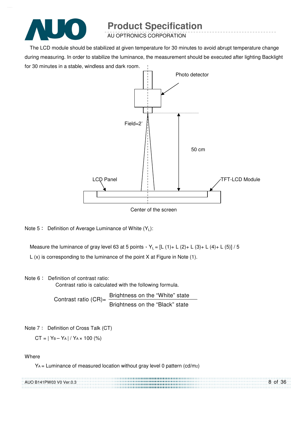

AU OPTRONICS CORPORATION

The LCD module should be stabilized at given temperature for 30 minutes to avoid abrupt temperature change during measuring. In order to stabilize the luminance, the measurement should be executed after lighting Backlight for 30 minutes in a stable, windless and dark room.



Center of the screen

Note 5 : Definition of Average Luminance of White  $(Y_L)$ :

Measure the luminance of gray level 63 at 5 points  $Y_L = [L (1) + L (2) + L (3) + L (4) + L (5)] / 5$ 

L (x) is corresponding to the luminance of the point X at Figure in Note (1).

#### Note 6: Definition of contrast ratio:

Contrast ratio is calculated with the following formula.

Contrast ratio  $(CR)$ = Brightness on the "White" state Brightness on the "Black" state

Note 7: Definition of Cross Talk (CT)

 $CT = |Y_B - Y_A| / Y_A \times 100$  (%)

#### **Where**

 $Y_A$  = Luminance of measured location without gray level 0 pattern (cd/m<sub>2</sub>)

| AUO B141PW03 V0 Ver.0.3 | 8 of 36 |
|-------------------------|---------|
|                         |         |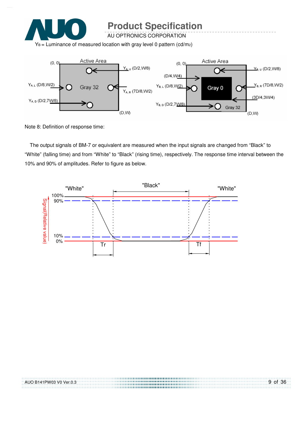

AU OPTRONICS CORPORATION

 $Y_B$  = Luminance of measured location with gray level 0 pattern (cd/m2)



Note 8: Definition of response time:

The output signals of BM-7 or equivalent are measured when the input signals are changed from "Black" to "White" (falling time) and from "White" to "Black" (rising time), respectively. The response time interval between the 10% and 90% of amplitudes. Refer to figure as below.



| AUO B141PW03 V0 Ver.0.3 | 9 of 36 |
|-------------------------|---------|
|                         |         |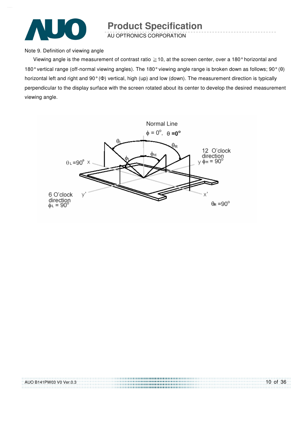

AU OPTRONICS CORPORATION

Note 9. Definition of viewing angle

Viewing angle is the measurement of contrast ratio  $\geq$  10, at the screen center, over a 180° horizontal and 180° vertical range (off-normal viewing angles). The 180° viewing angle range is broken down as follows; 90° (θ) horizontal left and right and 90° (Φ) vertical, high (up) and low (down). The measurement direction is typically perpendicular to the display surface with the screen rotated about its center to develop the desired measurement viewing angle.



| AUO B141PW03 V0 Ver.0.3 | $10$ of 36 |
|-------------------------|------------|
|                         |            |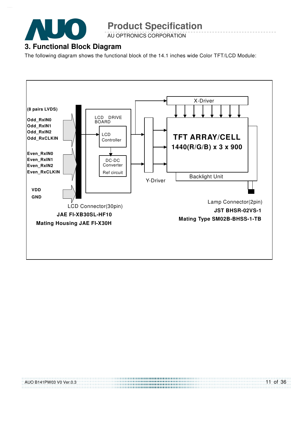

AU OPTRONICS CORPORATION

#### **3. Functional Block Diagram**

The following diagram shows the functional block of the 14.1 inches wide Color TFT/LCD Module:

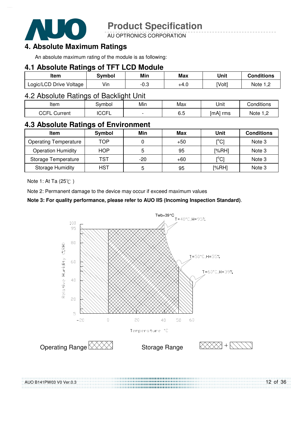

AU OPTRONICS CORPORATION

#### **4. Absolute Maximum Ratings**

An absolute maximum rating of the module is as following:

#### **4.1 Absolute Ratings of TFT LCD Module**

| Item                    | Svmbol | Min  | Max  | Unit   | <b>Conditions</b> |
|-------------------------|--------|------|------|--------|-------------------|
| Logic/LCD Drive Voltage | Vin    | -v.J | +4.0 | [Volt] | Note 1            |

#### 4.2 Absolute Ratings of Backlight Unit

| Item            | iymbol                | Min                      | Max            | Unit        | <b>Conditions</b> |
|-----------------|-----------------------|--------------------------|----------------|-------------|-------------------|
| CCEL<br>Current | $\cap$ $\cap$<br>◡◡┌∟ | $\overline{\phantom{0}}$ | -<br>r.<br>∪.∪ | ∣mAl<br>rms | Note<br>.         |

#### **4.3 Absolute Ratings of Environment**

| <b>Item</b>                  | Symbol     | Min | Max   | Unit                      | <b>Conditions</b> |
|------------------------------|------------|-----|-------|---------------------------|-------------------|
| <b>Operating Temperature</b> | TOP        |     | $+50$ | [°C]                      | Note 3            |
| <b>Operation Humidity</b>    | <b>HOP</b> | 5   | 95    | I%RHI                     | Note 3            |
| Storage Temperature          | TST        | -20 | $+60$ | $\mathop{\rm l}{\rm ^oC}$ | Note 3            |
| <b>Storage Humidity</b>      | HST        | 5   | 95    | [%RH]                     | Note 3            |

Note 1: At Ta  $(25^{\circ}C)$ 

AUO B141PW03 V0 Ver.0.3

Note 2: Permanent damage to the device may occur if exceed maximum values

#### **Note 3: For quality performance, please refer to AUO IIS (Incoming Inspection Standard)**.



12 of 36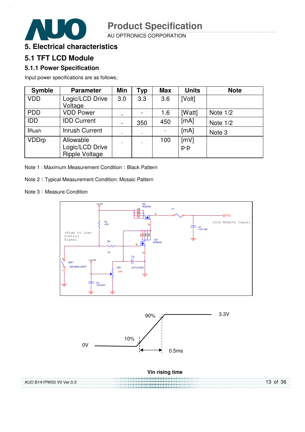AU OPTRONICS CORPORATION



### **5.1 TFT LCD Module**

#### **5.1.1 Power Specification**

Input power specifications are as follows;

| <b>Symble</b> | <b>Parameter</b>                                      | Min            | <b>Typ</b> | <b>Max</b> | <b>Units</b>  | <b>Note</b> |
|---------------|-------------------------------------------------------|----------------|------------|------------|---------------|-------------|
| <b>VDD</b>    | Logic/LCD Drive<br>Voltage                            | 3.0            | 3.3        | 3.6        | [Volt]        |             |
| <b>PDD</b>    | <b>VDD Power</b>                                      |                |            | 1.6        | [Watt]        | Note $1/2$  |
| <b>IDD</b>    | <b>IDD Current</b>                                    | $\blacksquare$ | 350        | 450        | [mA]          | Note $1/2$  |
| <b>IRush</b>  | <b>Inrush Current</b>                                 |                |            |            | [mA]          | Note 3      |
| <b>VDDrp</b>  | Allowable<br>Logic/LCD Drive<br><b>Ripple Voltage</b> |                |            | 100        | [mV]<br>$p-p$ |             |

Note 1 : Maximum Measurement Condition : Black Pattern

Note 2 Typical Measurement Condition: Mosaic Pattern

Note 3: Measure Condition

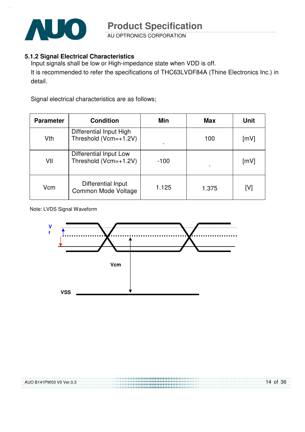

AU OPTRONICS CORPORATION

#### **5.1.2 Signal Electrical Characteristics**

Input signals shall be low or High-impedance state when VDD is off. It is recommended to refer the specifications of THC63LVDF84A (Thine Electronics Inc.) in detail.

Signal electrical characteristics are as follows;

| <b>Parameter</b> | <b>Condition</b>                                 | Min    | <b>Max</b> | <b>Unit</b> |
|------------------|--------------------------------------------------|--------|------------|-------------|
| Vth              | Differential Input High<br>Threshold (Vcm=+1.2V) |        | 100        | [mV]        |
| Vtl              | Differential Input Low<br>Threshold (Vcm=+1.2V)  | $-100$ |            | [mV]        |
| Vcm              | Differential Input<br>Common Mode Voltage        | 1.125  | 1.375      | [V]         |

Note: LVDS Signal Waveform

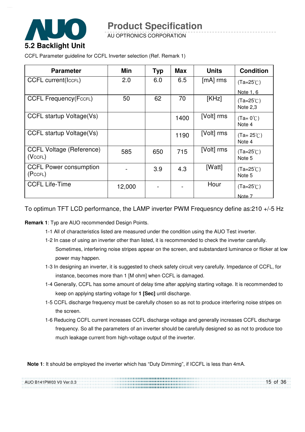

AU OPTRONICS CORPORATION

CCFL Parameter guideline for CCFL Inverter selection (Ref. Remark 1)

| <b>Parameter</b>                           | Min    | <b>Typ</b> | <b>Max</b> | <b>Units</b> | <b>Condition</b>               |
|--------------------------------------------|--------|------------|------------|--------------|--------------------------------|
| <b>CCFL current(IccFL)</b>                 | 2.0    | 6.0        | 6.5        | $[mA]$ rms   | $(Ta=25^{\circ}C)$             |
|                                            |        |            |            |              | Note 1, 6                      |
| <b>CCFL Frequency (FccFL)</b>              | 50     | 62         | 70         | [KHz]        | $(Ta=25^{\circ}C)$<br>Note 2,3 |
| CCFL startup Voltage(Vs)                   |        |            | 1400       | [Volt] rms   | $(Ta=0^{\circ}C)$<br>Note 4    |
| CCFL startup Voltage(Vs)                   |        |            | 1190       | [Volt] rms   | $(Ta=25^{\circ}C)$<br>Note 4   |
| <b>CCFL Voltage (Reference)</b><br>(VccFL) | 585    | 650        | 715        | [Volt] rms   | $(Ta=25^{\circ}C)$<br>Note 5   |
| <b>CCFL Power consumption</b><br>(PccFL)   |        | 3.9        | 4.3        | [Watt]       | $(Ta=25^{\circ}C)$<br>Note 5   |
| <b>CCFL Life-Time</b>                      | 12,000 |            |            | Hour         | $(Ta=25^{\circ}C)$             |
|                                            |        |            |            |              | Note 7                         |

To optimun TFT LCD performance, the LAMP inverter PWM Frequesncy define as:210 +/-5 Hz

**Remark 1**: Typ are AUO recommended Design Points.

- 1-1 All of characteristics listed are measured under the condition using the AUO Test inverter.
- 1-2 In case of using an inverter other than listed, it is recommended to check the inverter carefully. Sometimes, interfering noise stripes appear on the screen, and substandard luminance or flicker at low power may happen.
- 1-3 In designing an inverter, it is suggested to check safety circuit very carefully. Impedance of CCFL, for instance, becomes more than 1 [M ohm] when CCFL is damaged.
- 1-4 Generally, CCFL has some amount of delay time after applying starting voltage. It is recommended to keep on applying starting voltage for **1 [Sec]** until discharge.
- 1-5 CCFL discharge frequency must be carefully chosen so as not to produce interfering noise stripes on the screen.
- 1-6 Reducing CCFL current increases CCFL discharge voltage and generally increases CCFL discharge frequency. So all the parameters of an inverter should be carefully designed so as not to produce too much leakage current from high-voltage output of the inverter.

**Note 1**: It should be employed the inverter which has "Duty Dimming", if ICCFL is less than 4mA.

| AUO B141PW03 V0 Ver.0.3 | 15 of 36 |
|-------------------------|----------|
|                         |          |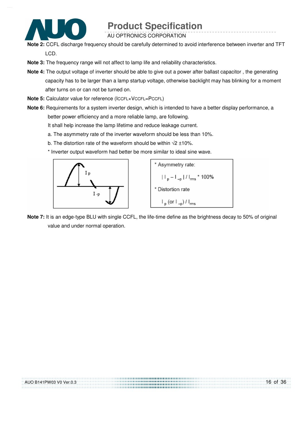

AU OPTRONICS CORPORATION

- **Note 2:** CCFL discharge frequency should be carefully determined to avoid interference between inverter and TFT LCD.
- **Note 3:** The frequency range will not affect to lamp life and reliability characteristics.
- **Note 4:** The output voltage of inverter should be able to give out a power after ballast capacitor , the generating capacity has to be larger than a lamp startup voltage, otherwise backlight may has blinking for a moment after turns on or can not be turned on.
- **Note 5:** Calculator value for reference (ICCFL×VCCFL=PCCFL)
- **Note 6:** Requirements for a system inverter design, which is intended to have a better display performance, a better power efficiency and a more reliable lamp, are following.
	- It shall help increase the lamp lifetime and reduce leakage current.
	- a. The asymmetry rate of the inverter waveform should be less than 10%.
	- b. The distortion rate of the waveform should be within  $\sqrt{2}$  ±10%.
	- \* Inverter output waveform had better be more similar to ideal sine wave.





**Note 7:** It is an edge-type BLU with single CCFL, the life-time define as the brightness decay to 50% of original value and under normal operation.

| AUO B141PW03 V0 Ver.0.3 | $16$ of 36 |
|-------------------------|------------|
|                         |            |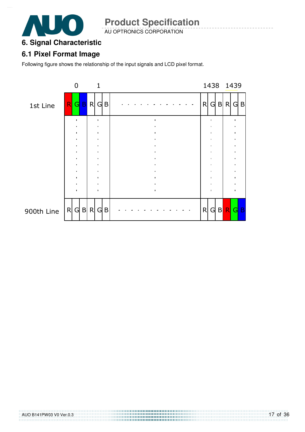

AU OPTRONICS CORPORATION

#### **6. Signal Characteristic**

#### **6.1 Pixel Format Image**

Following figure shows the relationship of the input signals and LCD pixel format.

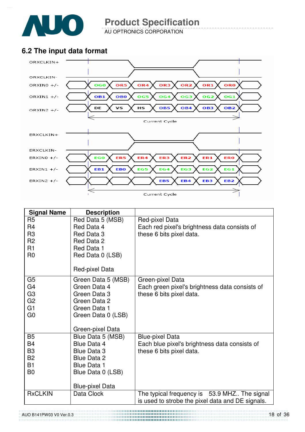

AU OPTRONICS CORPORATION

### **6.2 The input data format**



| <b>Signal Name</b>               | <b>Description</b>                |                                                                |
|----------------------------------|-----------------------------------|----------------------------------------------------------------|
| R <sub>5</sub><br>R4             | Red Data 5 (MSB)<br>Red Data 4    | Red-pixel Data<br>Each red pixel's brightness data consists of |
| R <sub>3</sub><br>R <sub>2</sub> | Red Data 3<br>Red Data 2          | these 6 bits pixel data.                                       |
| R <sub>1</sub>                   | Red Data 1                        |                                                                |
| R <sub>0</sub>                   | Red Data 0 (LSB)                  |                                                                |
|                                  | Red-pixel Data                    |                                                                |
| G <sub>5</sub>                   | Green Data 5 (MSB)                | Green-pixel Data                                               |
| G <sub>4</sub>                   | Green Data 4                      | Each green pixel's brightness data consists of                 |
| G <sub>3</sub><br>G <sub>2</sub> | Green Data 3<br>Green Data 2      | these 6 bits pixel data.                                       |
| G1                               | Green Data 1                      |                                                                |
| G <sub>0</sub>                   | Green Data 0 (LSB)                |                                                                |
|                                  | Green-pixel Data                  |                                                                |
| <b>B5</b>                        | Blue Data 5 (MSB)                 | <b>Blue-pixel Data</b>                                         |
| B4                               | Blue Data 4                       | Each blue pixel's brightness data consists of                  |
| B <sub>3</sub><br>B <sub>2</sub> | <b>Blue Data 3</b><br>Blue Data 2 | these 6 bits pixel data.                                       |
| <b>B1</b>                        | <b>Blue Data 1</b>                |                                                                |
| B <sub>0</sub>                   | Blue Data 0 (LSB)                 |                                                                |
|                                  | <b>Blue-pixel Data</b>            |                                                                |
| <b>RxCLKIN</b>                   | Data Clock                        | The typical frequency is 53.9 MHZ The signal                   |
|                                  |                                   | is used to strobe the pixel data and DE signals.               |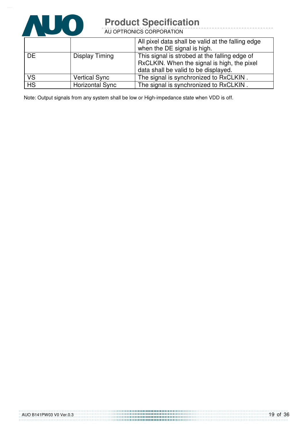

AU OPTRONICS CORPORATION

|                        |                        | All pixel data shall be valid at the falling edge<br>when the DE signal is high.                                                     |
|------------------------|------------------------|--------------------------------------------------------------------------------------------------------------------------------------|
| <b>DE</b>              | Display Timing         | This signal is strobed at the falling edge of<br>RxCLKIN. When the signal is high, the pixel<br>data shall be valid to be displayed. |
| <b>VS</b>              | <b>Vertical Sync</b>   | The signal is synchronized to RxCLKIN.                                                                                               |
| $\overline{\text{HS}}$ | <b>Horizontal Sync</b> | The signal is synchronized to RxCLKIN.                                                                                               |

Note: Output signals from any system shall be low or High-impedance state when VDD is off.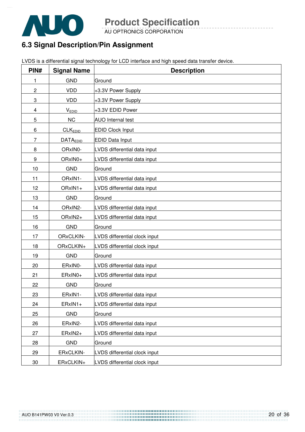

AU OPTRONICS CORPORATION

### **6.3 Signal Description/Pin Assignment**

|  | LVDS is a differential signal technology for LCD interface and high speed data transfer device. |
|--|-------------------------------------------------------------------------------------------------|
|  |                                                                                                 |

| PIN#           | <b>Signal Name</b>   | <b>Description</b>            |
|----------------|----------------------|-------------------------------|
| 1              | <b>GND</b>           | Ground                        |
| $\overline{c}$ | <b>VDD</b>           | +3.3V Power Supply            |
| 3              | <b>VDD</b>           | +3.3V Power Supply            |
| 4              | <b>VEDID</b>         | +3.3V EDID Power              |
| 5              | <b>NC</b>            | <b>AUO</b> Internal test      |
| 6              | CLK <sub>EDID</sub>  | <b>EDID Clock Input</b>       |
| 7              | DATA <sub>EDID</sub> | <b>EDID Data Input</b>        |
| 8              | ORxIN0-              | LVDS differential data input  |
| 9              | ORxIN0+              | LVDS differential data input  |
| 10             | <b>GND</b>           | Ground                        |
| 11             | ORxIN1-              | LVDS differential data input  |
| 12             | ORxIN1+              | LVDS differential data input  |
| 13             | <b>GND</b>           | Ground                        |
| 14             | ORxIN2-              | LVDS differential data input  |
| 15             | ORxIN2+              | LVDS differential data input  |
| 16             | <b>GND</b>           | Ground                        |
| 17             | ORxCLKIN-            | LVDS differential clock input |
| 18             | ORxCLKIN+            | LVDS differential clock input |
| 19             | <b>GND</b>           | Ground                        |
| 20             | ERxIN0-              | LVDS differential data input  |
| 21             | ERxIN0+              | LVDS differential data input  |
| 22             | <b>GND</b>           | Ground                        |
| 23             | ERxIN1-              | LVDS differential data input  |
| 24             | ERxIN1+              | LVDS differential data input  |
| 25             | <b>GND</b>           | Ground                        |
| 26             | ERxIN2-              | LVDS differential data input  |
| 27             | ERxIN2+              | LVDS differential data input  |
| 28             | <b>GND</b>           | Ground                        |
| 29             | ERxCLKIN-            | LVDS differential clock input |
| 30             | ERxCLKIN+            | LVDS differential clock input |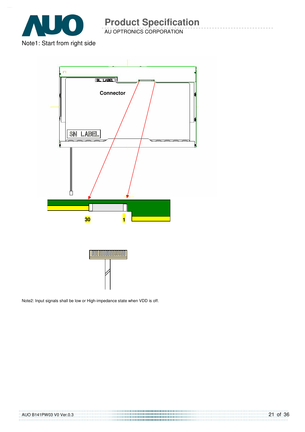

AU OPTRONICS CORPORATION

Note1: Start from right side



Note2: Input signals shall be low or High-impedance state when VDD is off.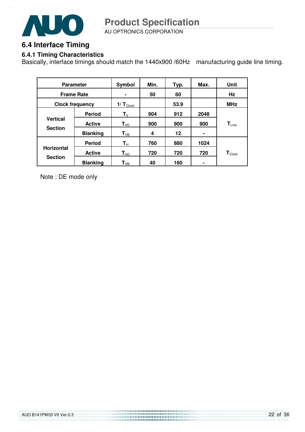

AU OPTRONICS CORPORATION **Product Specification** 

### **6.4 Interface Timing**

#### **6.4.1 Timing Characteristics**

Basically, interface timings should match the 1440x900 /60Hz manufacturing guide line timing.

| <b>Parameter</b>                  |                 | Symbol                        | Min. | Typ. | Max. | Unit                         |
|-----------------------------------|-----------------|-------------------------------|------|------|------|------------------------------|
| <b>Frame Rate</b>                 |                 | $\blacksquare$                | 50   | 60   |      | Hz                           |
| <b>Clock frequency</b>            |                 | $1/\mathbf{T}_{\text{Clock}}$ |      | 53.9 |      | <b>MHz</b>                   |
|                                   | <b>Period</b>   | $T_{V}$                       | 904  | 912  | 2048 |                              |
| <b>Vertical</b><br><b>Section</b> | <b>Active</b>   | T <sub>VD</sub>               | 900  | 900  | 900  | $\mathsf{T}_{\mathsf{Line}}$ |
|                                   | <b>Blanking</b> | $T_{VB}$                      | 4    | 12   | ۰    |                              |
|                                   | <b>Period</b>   | $\mathsf{T}_\mathsf{H}$       | 760  | 880  | 1024 |                              |
| <b>Horizontal</b>                 | <b>Active</b>   | $\mathsf{T}_{\mathsf{HD}}$    | 720  | 720  | 720  | $\mathbf{T}_{\text{Clock}}$  |
| <b>Section</b>                    | <b>Blanking</b> | $\mathsf{T}_{\mathsf{HB}}$    | 40   | 160  |      |                              |

Note : DE mode only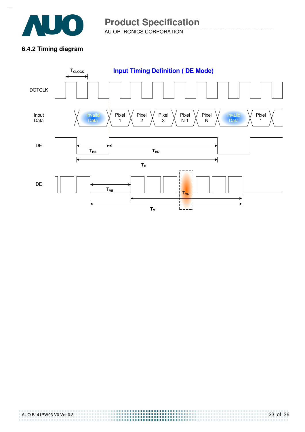

AU OPTRONICS CORPORATION **Product Specification** 

#### **6.4.2 Timing diagram**

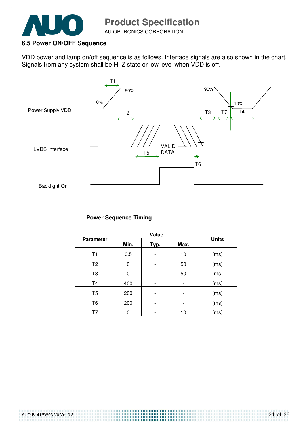

#### **6.5 Power ON/OFF Sequence**

VDD power and lamp on/off sequence is as follows. Interface signals are also shown in the chart. Signals from any system shall be Hi-Z state or low level when VDD is off.



#### **Power Sequence Timing**

|                  |                      | <b>Units</b>             |                              |      |  |  |
|------------------|----------------------|--------------------------|------------------------------|------|--|--|
| <b>Parameter</b> | Min.<br>Max.<br>Typ. |                          |                              |      |  |  |
| T1               | 0.5                  |                          | 10                           | (ms) |  |  |
| T <sub>2</sub>   | 0                    | 50                       |                              | (ms) |  |  |
| T <sub>3</sub>   | 0                    |                          | 50                           | (ms) |  |  |
| T <sub>4</sub>   | 400                  |                          | $\qquad \qquad \blacksquare$ | (ms) |  |  |
| T <sub>5</sub>   | 200                  | $\overline{a}$           | $\qquad \qquad \blacksquare$ | (ms) |  |  |
| T <sub>6</sub>   | 200                  | $\overline{\phantom{0}}$ | $\overline{\phantom{0}}$     | (ms) |  |  |
| T7               | 0                    |                          | 10                           | (ms) |  |  |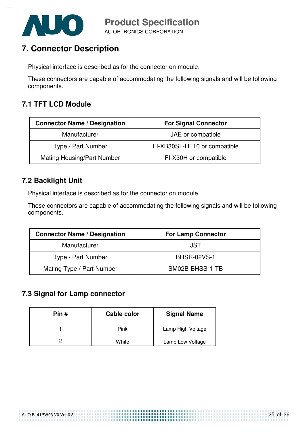

### **7. Connector Description**

Physical interface is described as for the connector on module.

These connectors are capable of accommodating the following signals and will be following components.

### **7.1 TFT LCD Module**

| <b>Connector Name / Designation</b> | <b>For Signal Connector</b>  |
|-------------------------------------|------------------------------|
| Manufacturer                        | JAE or compatible            |
| Type / Part Number                  | FI-XB30SL-HF10 or compatible |
| <b>Mating Housing/Part Number</b>   | FI-X30H or compatible        |

#### **7.2 Backlight Unit**

Physical interface is described as for the connector on module.

These connectors are capable of accommodating the following signals and will be following components.

| <b>Connector Name / Designation</b> | <b>For Lamp Connector</b> |
|-------------------------------------|---------------------------|
| Manufacturer                        | JST                       |
| Type / Part Number                  | <b>BHSR-02VS-1</b>        |
| Mating Type / Part Number           | SM02B-BHSS-1-TB           |

### **7.3 Signal for Lamp connector**

| Pin # | Cable color | <b>Signal Name</b> |
|-------|-------------|--------------------|
|       | Pink        | Lamp High Voltage  |
|       | White       | Lamp Low Voltage   |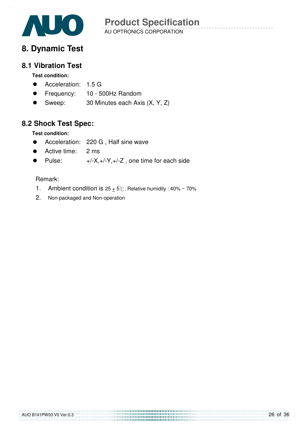

### **8. Dynamic Test**

#### **8.1 Vibration Test**

#### **Test condition:**

- **Acceleration: 1.5 G**
- Frequency: 10 500Hz Random
- Sweep: 30 Minutes each Axis (X, Y, Z)

### **8.2 Shock Test Spec:**

**Test condition:** 

- Acceleration: 220 G , Half sine wave
- Active time: 2 ms
- Pulse:  $+/-X,+/-Y,+/-Z$ , one time for each side

#### Remark:

- 1. Ambient condition is  $25 \pm 5^\circ$ C, Relative humidity : 40% ~ 70%
- 2. Non-packaged and Non-operation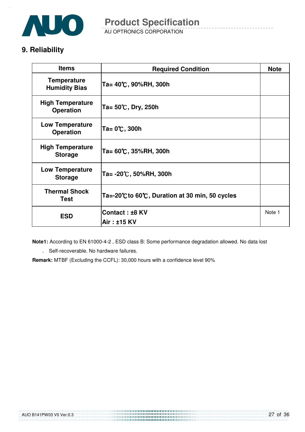

AU OPTRONICS CORPORATION **Product Specification** 

### **9. Reliability**

| <b>Items</b>                                | <b>Required Condition</b>                    |        |
|---------------------------------------------|----------------------------------------------|--------|
| <b>Temperature</b><br><b>Humidity Bias</b>  | Ta= 40℃, 90%RH, 300h                         |        |
| <b>High Temperature</b><br><b>Operation</b> | Ta= 50℃, Dry, 250h                           |        |
| <b>Low Temperature</b><br><b>Operation</b>  | Ta= 0℃, 300h                                 |        |
| <b>High Temperature</b><br><b>Storage</b>   | Ta= 60℃, 35%RH, 300h                         |        |
| <b>Low Temperature</b><br><b>Storage</b>    | Ta= -20℃, 50%RH, 300h                        |        |
| <b>Thermal Shock</b><br><b>Test</b>         | Ta=-20℃to 60℃, Duration at 30 min, 50 cycles |        |
| <b>ESD</b>                                  | Contact: ±8 KV                               | Note 1 |
|                                             | Air: ±15 KV                                  |        |

**Note1:** According to EN 61000-4-2 , ESD class B: Some performance degradation allowed. No data lost

. Self-recoverable. No hardware failures.

**Remark:** MTBF (Excluding the CCFL): 30,000 hours with a confidence level 90%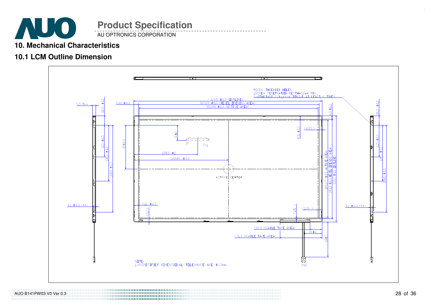

#### **10. Mechanical Characteristics**

### **10.1 LCM Outline Dimension**



AUO B141PW03 V0 Ver.0.3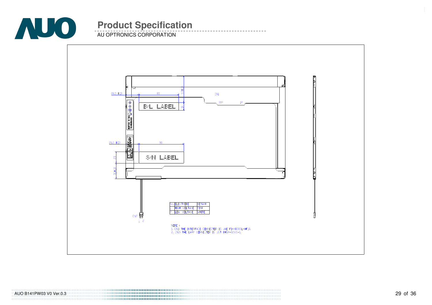

AU OPTRONICS CORPORATION

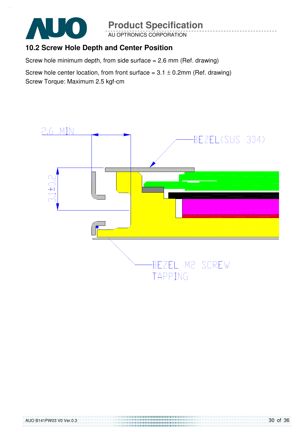

AU OPTRONICS CORPORATION

### **10.2 Screw Hole Depth and Center Position**

Screw hole minimum depth, from side surface = 2.6 mm (Ref. drawing)

Screw hole center location, from front surface =  $3.1 \pm 0.2$ mm (Ref. drawing) Screw Torque: Maximum 2.5 kgf-cm

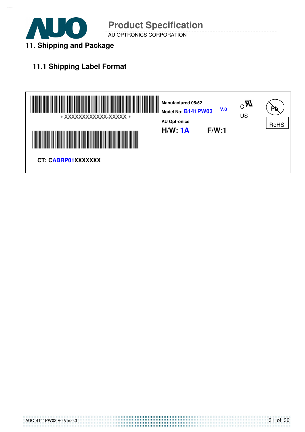

AU OPTRONICS CORPORATION

### **11.1 Shipping Label Format**

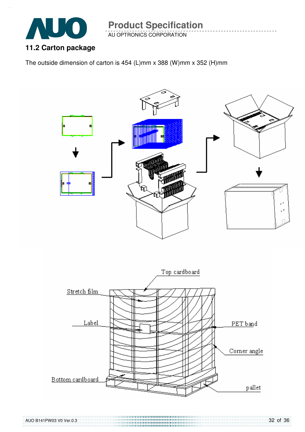

AU OPTRONICS CORPORATION

### **11.2 Carton package**

The outside dimension of carton is 454 (L)mm x 388 (W)mm x 352 (H)mm

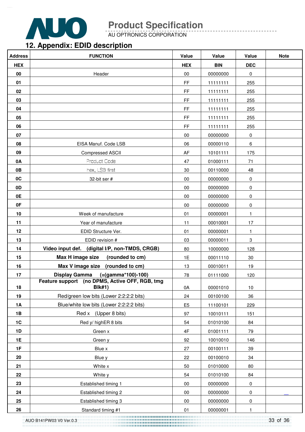

AU OPTRONICS CORPORATION

### **12. Appendix: EDID description**

| <b>HEX</b><br><b>BIN</b><br><b>DEC</b><br><b>HEX</b><br>00<br>$00\,$<br>Header<br>00000000<br>0<br><b>FF</b><br>01<br>11111111<br>255<br>02<br>FF.<br>255<br>11111111<br>03<br>$\mathsf{FF}% _{0}$<br>11111111<br>255<br>04<br>$\mathsf{FF}% _{0}$<br>11111111<br>255<br>$\mathsf{FF}% _{0}$<br>05<br>11111111<br>255<br><b>FF</b><br>06<br>11111111<br>255<br>07<br>$00\,$<br>00000000<br>0<br>EISA Manuf. Code LSB<br>08<br>06<br>00000110<br>6<br>09<br>AF<br><b>Compressed ASCII</b><br>10101111<br>175<br>Product Code<br>0A<br>47<br>01000111<br>71<br>hex, LSB first<br>0B<br>30<br>00110000<br>48<br>0C<br>$00\,$<br>32-bit ser #<br>00000000<br>0<br>0 <sub>D</sub><br>$00\,$<br>00000000<br>$\pmb{0}$<br>0E<br>00<br>00000000<br>0<br>0F<br>00<br>00000000<br>0<br>10<br>01<br>1<br>Week of manufacture<br>00000001<br>Year of manufacture<br>11<br>00010001<br>17<br>11<br>12<br>EDID Structure Ver.<br>01<br>00000001<br>1<br>13<br>EDID revision #<br>03<br>3<br>00000011<br>Video input def. (digital I/P, non-TMDS, CRGB)<br>14<br>80<br>128<br>10000000<br>Max H image size<br>(rounded to cm)<br>1E<br>30<br>15<br>00011110<br>Max V image size (rounded to cm)<br>16<br>13<br>00010011<br>19<br>Display Gamma (=(gamma*100)-100)<br>78<br>01111000<br>17<br>120<br>Feature support (no DPMS, Active OFF, RGB, tmg<br><b>BIk#1)</b><br>18<br>0A<br>00001010<br>10<br>Red/green low bits (Lower 2:2:2:2 bits)<br>19<br>24<br>00100100<br>36<br>Blue/white low bits (Lower 2:2:2:2 bits)<br>E <sub>5</sub><br><b>1A</b><br>229<br>11100101<br>Red x (Upper 8 bits)<br>1B<br>97<br>10010111<br>151<br>1C<br>Red y/ highER 8 bits<br>54<br>01010100<br>84<br>$4\mathsf{F}$<br><b>1D</b><br>01001111<br>Green x<br>79<br>1E<br>92<br>10010010<br>146<br>Green y<br>1F<br>27<br>Blue x<br>00100111<br>39<br>22<br>20<br>Blue y<br>00100010<br>34<br>21<br>White x<br>50<br>01010000<br>80<br>54<br>22<br>White y<br>01010100<br>84<br>23<br>$00\,$<br>Established timing 1<br>00000000<br>$\pmb{0}$<br>24<br>$00\,$<br>Established timing 2<br>00000000<br>$\pmb{0}$<br>25<br>$00\,$<br>Established timing 3<br>00000000<br>0 | <b>Address</b> | <b>FUNCTION</b>    | Value | Value    | Value | <b>Note</b> |
|------------------------------------------------------------------------------------------------------------------------------------------------------------------------------------------------------------------------------------------------------------------------------------------------------------------------------------------------------------------------------------------------------------------------------------------------------------------------------------------------------------------------------------------------------------------------------------------------------------------------------------------------------------------------------------------------------------------------------------------------------------------------------------------------------------------------------------------------------------------------------------------------------------------------------------------------------------------------------------------------------------------------------------------------------------------------------------------------------------------------------------------------------------------------------------------------------------------------------------------------------------------------------------------------------------------------------------------------------------------------------------------------------------------------------------------------------------------------------------------------------------------------------------------------------------------------------------------------------------------------------------------------------------------------------------------------------------------------------------------------------------------------------------------------------------------------------------------------------------------------------------------------------------------------------------------------------------------------------------------------------------------------------------------------------------------------------------------------------------------------------------------|----------------|--------------------|-------|----------|-------|-------------|
|                                                                                                                                                                                                                                                                                                                                                                                                                                                                                                                                                                                                                                                                                                                                                                                                                                                                                                                                                                                                                                                                                                                                                                                                                                                                                                                                                                                                                                                                                                                                                                                                                                                                                                                                                                                                                                                                                                                                                                                                                                                                                                                                          |                |                    |       |          |       |             |
|                                                                                                                                                                                                                                                                                                                                                                                                                                                                                                                                                                                                                                                                                                                                                                                                                                                                                                                                                                                                                                                                                                                                                                                                                                                                                                                                                                                                                                                                                                                                                                                                                                                                                                                                                                                                                                                                                                                                                                                                                                                                                                                                          |                |                    |       |          |       |             |
|                                                                                                                                                                                                                                                                                                                                                                                                                                                                                                                                                                                                                                                                                                                                                                                                                                                                                                                                                                                                                                                                                                                                                                                                                                                                                                                                                                                                                                                                                                                                                                                                                                                                                                                                                                                                                                                                                                                                                                                                                                                                                                                                          |                |                    |       |          |       |             |
|                                                                                                                                                                                                                                                                                                                                                                                                                                                                                                                                                                                                                                                                                                                                                                                                                                                                                                                                                                                                                                                                                                                                                                                                                                                                                                                                                                                                                                                                                                                                                                                                                                                                                                                                                                                                                                                                                                                                                                                                                                                                                                                                          |                |                    |       |          |       |             |
|                                                                                                                                                                                                                                                                                                                                                                                                                                                                                                                                                                                                                                                                                                                                                                                                                                                                                                                                                                                                                                                                                                                                                                                                                                                                                                                                                                                                                                                                                                                                                                                                                                                                                                                                                                                                                                                                                                                                                                                                                                                                                                                                          |                |                    |       |          |       |             |
|                                                                                                                                                                                                                                                                                                                                                                                                                                                                                                                                                                                                                                                                                                                                                                                                                                                                                                                                                                                                                                                                                                                                                                                                                                                                                                                                                                                                                                                                                                                                                                                                                                                                                                                                                                                                                                                                                                                                                                                                                                                                                                                                          |                |                    |       |          |       |             |
|                                                                                                                                                                                                                                                                                                                                                                                                                                                                                                                                                                                                                                                                                                                                                                                                                                                                                                                                                                                                                                                                                                                                                                                                                                                                                                                                                                                                                                                                                                                                                                                                                                                                                                                                                                                                                                                                                                                                                                                                                                                                                                                                          |                |                    |       |          |       |             |
|                                                                                                                                                                                                                                                                                                                                                                                                                                                                                                                                                                                                                                                                                                                                                                                                                                                                                                                                                                                                                                                                                                                                                                                                                                                                                                                                                                                                                                                                                                                                                                                                                                                                                                                                                                                                                                                                                                                                                                                                                                                                                                                                          |                |                    |       |          |       |             |
|                                                                                                                                                                                                                                                                                                                                                                                                                                                                                                                                                                                                                                                                                                                                                                                                                                                                                                                                                                                                                                                                                                                                                                                                                                                                                                                                                                                                                                                                                                                                                                                                                                                                                                                                                                                                                                                                                                                                                                                                                                                                                                                                          |                |                    |       |          |       |             |
|                                                                                                                                                                                                                                                                                                                                                                                                                                                                                                                                                                                                                                                                                                                                                                                                                                                                                                                                                                                                                                                                                                                                                                                                                                                                                                                                                                                                                                                                                                                                                                                                                                                                                                                                                                                                                                                                                                                                                                                                                                                                                                                                          |                |                    |       |          |       |             |
|                                                                                                                                                                                                                                                                                                                                                                                                                                                                                                                                                                                                                                                                                                                                                                                                                                                                                                                                                                                                                                                                                                                                                                                                                                                                                                                                                                                                                                                                                                                                                                                                                                                                                                                                                                                                                                                                                                                                                                                                                                                                                                                                          |                |                    |       |          |       |             |
|                                                                                                                                                                                                                                                                                                                                                                                                                                                                                                                                                                                                                                                                                                                                                                                                                                                                                                                                                                                                                                                                                                                                                                                                                                                                                                                                                                                                                                                                                                                                                                                                                                                                                                                                                                                                                                                                                                                                                                                                                                                                                                                                          |                |                    |       |          |       |             |
|                                                                                                                                                                                                                                                                                                                                                                                                                                                                                                                                                                                                                                                                                                                                                                                                                                                                                                                                                                                                                                                                                                                                                                                                                                                                                                                                                                                                                                                                                                                                                                                                                                                                                                                                                                                                                                                                                                                                                                                                                                                                                                                                          |                |                    |       |          |       |             |
|                                                                                                                                                                                                                                                                                                                                                                                                                                                                                                                                                                                                                                                                                                                                                                                                                                                                                                                                                                                                                                                                                                                                                                                                                                                                                                                                                                                                                                                                                                                                                                                                                                                                                                                                                                                                                                                                                                                                                                                                                                                                                                                                          |                |                    |       |          |       |             |
|                                                                                                                                                                                                                                                                                                                                                                                                                                                                                                                                                                                                                                                                                                                                                                                                                                                                                                                                                                                                                                                                                                                                                                                                                                                                                                                                                                                                                                                                                                                                                                                                                                                                                                                                                                                                                                                                                                                                                                                                                                                                                                                                          |                |                    |       |          |       |             |
|                                                                                                                                                                                                                                                                                                                                                                                                                                                                                                                                                                                                                                                                                                                                                                                                                                                                                                                                                                                                                                                                                                                                                                                                                                                                                                                                                                                                                                                                                                                                                                                                                                                                                                                                                                                                                                                                                                                                                                                                                                                                                                                                          |                |                    |       |          |       |             |
|                                                                                                                                                                                                                                                                                                                                                                                                                                                                                                                                                                                                                                                                                                                                                                                                                                                                                                                                                                                                                                                                                                                                                                                                                                                                                                                                                                                                                                                                                                                                                                                                                                                                                                                                                                                                                                                                                                                                                                                                                                                                                                                                          |                |                    |       |          |       |             |
|                                                                                                                                                                                                                                                                                                                                                                                                                                                                                                                                                                                                                                                                                                                                                                                                                                                                                                                                                                                                                                                                                                                                                                                                                                                                                                                                                                                                                                                                                                                                                                                                                                                                                                                                                                                                                                                                                                                                                                                                                                                                                                                                          |                |                    |       |          |       |             |
|                                                                                                                                                                                                                                                                                                                                                                                                                                                                                                                                                                                                                                                                                                                                                                                                                                                                                                                                                                                                                                                                                                                                                                                                                                                                                                                                                                                                                                                                                                                                                                                                                                                                                                                                                                                                                                                                                                                                                                                                                                                                                                                                          |                |                    |       |          |       |             |
|                                                                                                                                                                                                                                                                                                                                                                                                                                                                                                                                                                                                                                                                                                                                                                                                                                                                                                                                                                                                                                                                                                                                                                                                                                                                                                                                                                                                                                                                                                                                                                                                                                                                                                                                                                                                                                                                                                                                                                                                                                                                                                                                          |                |                    |       |          |       |             |
|                                                                                                                                                                                                                                                                                                                                                                                                                                                                                                                                                                                                                                                                                                                                                                                                                                                                                                                                                                                                                                                                                                                                                                                                                                                                                                                                                                                                                                                                                                                                                                                                                                                                                                                                                                                                                                                                                                                                                                                                                                                                                                                                          |                |                    |       |          |       |             |
|                                                                                                                                                                                                                                                                                                                                                                                                                                                                                                                                                                                                                                                                                                                                                                                                                                                                                                                                                                                                                                                                                                                                                                                                                                                                                                                                                                                                                                                                                                                                                                                                                                                                                                                                                                                                                                                                                                                                                                                                                                                                                                                                          |                |                    |       |          |       |             |
|                                                                                                                                                                                                                                                                                                                                                                                                                                                                                                                                                                                                                                                                                                                                                                                                                                                                                                                                                                                                                                                                                                                                                                                                                                                                                                                                                                                                                                                                                                                                                                                                                                                                                                                                                                                                                                                                                                                                                                                                                                                                                                                                          |                |                    |       |          |       |             |
|                                                                                                                                                                                                                                                                                                                                                                                                                                                                                                                                                                                                                                                                                                                                                                                                                                                                                                                                                                                                                                                                                                                                                                                                                                                                                                                                                                                                                                                                                                                                                                                                                                                                                                                                                                                                                                                                                                                                                                                                                                                                                                                                          |                |                    |       |          |       |             |
|                                                                                                                                                                                                                                                                                                                                                                                                                                                                                                                                                                                                                                                                                                                                                                                                                                                                                                                                                                                                                                                                                                                                                                                                                                                                                                                                                                                                                                                                                                                                                                                                                                                                                                                                                                                                                                                                                                                                                                                                                                                                                                                                          |                |                    |       |          |       |             |
|                                                                                                                                                                                                                                                                                                                                                                                                                                                                                                                                                                                                                                                                                                                                                                                                                                                                                                                                                                                                                                                                                                                                                                                                                                                                                                                                                                                                                                                                                                                                                                                                                                                                                                                                                                                                                                                                                                                                                                                                                                                                                                                                          |                |                    |       |          |       |             |
|                                                                                                                                                                                                                                                                                                                                                                                                                                                                                                                                                                                                                                                                                                                                                                                                                                                                                                                                                                                                                                                                                                                                                                                                                                                                                                                                                                                                                                                                                                                                                                                                                                                                                                                                                                                                                                                                                                                                                                                                                                                                                                                                          |                |                    |       |          |       |             |
|                                                                                                                                                                                                                                                                                                                                                                                                                                                                                                                                                                                                                                                                                                                                                                                                                                                                                                                                                                                                                                                                                                                                                                                                                                                                                                                                                                                                                                                                                                                                                                                                                                                                                                                                                                                                                                                                                                                                                                                                                                                                                                                                          |                |                    |       |          |       |             |
|                                                                                                                                                                                                                                                                                                                                                                                                                                                                                                                                                                                                                                                                                                                                                                                                                                                                                                                                                                                                                                                                                                                                                                                                                                                                                                                                                                                                                                                                                                                                                                                                                                                                                                                                                                                                                                                                                                                                                                                                                                                                                                                                          |                |                    |       |          |       |             |
|                                                                                                                                                                                                                                                                                                                                                                                                                                                                                                                                                                                                                                                                                                                                                                                                                                                                                                                                                                                                                                                                                                                                                                                                                                                                                                                                                                                                                                                                                                                                                                                                                                                                                                                                                                                                                                                                                                                                                                                                                                                                                                                                          |                |                    |       |          |       |             |
|                                                                                                                                                                                                                                                                                                                                                                                                                                                                                                                                                                                                                                                                                                                                                                                                                                                                                                                                                                                                                                                                                                                                                                                                                                                                                                                                                                                                                                                                                                                                                                                                                                                                                                                                                                                                                                                                                                                                                                                                                                                                                                                                          |                |                    |       |          |       |             |
|                                                                                                                                                                                                                                                                                                                                                                                                                                                                                                                                                                                                                                                                                                                                                                                                                                                                                                                                                                                                                                                                                                                                                                                                                                                                                                                                                                                                                                                                                                                                                                                                                                                                                                                                                                                                                                                                                                                                                                                                                                                                                                                                          |                |                    |       |          |       |             |
|                                                                                                                                                                                                                                                                                                                                                                                                                                                                                                                                                                                                                                                                                                                                                                                                                                                                                                                                                                                                                                                                                                                                                                                                                                                                                                                                                                                                                                                                                                                                                                                                                                                                                                                                                                                                                                                                                                                                                                                                                                                                                                                                          |                |                    |       |          |       |             |
|                                                                                                                                                                                                                                                                                                                                                                                                                                                                                                                                                                                                                                                                                                                                                                                                                                                                                                                                                                                                                                                                                                                                                                                                                                                                                                                                                                                                                                                                                                                                                                                                                                                                                                                                                                                                                                                                                                                                                                                                                                                                                                                                          |                |                    |       |          |       |             |
|                                                                                                                                                                                                                                                                                                                                                                                                                                                                                                                                                                                                                                                                                                                                                                                                                                                                                                                                                                                                                                                                                                                                                                                                                                                                                                                                                                                                                                                                                                                                                                                                                                                                                                                                                                                                                                                                                                                                                                                                                                                                                                                                          |                |                    |       |          |       |             |
|                                                                                                                                                                                                                                                                                                                                                                                                                                                                                                                                                                                                                                                                                                                                                                                                                                                                                                                                                                                                                                                                                                                                                                                                                                                                                                                                                                                                                                                                                                                                                                                                                                                                                                                                                                                                                                                                                                                                                                                                                                                                                                                                          |                |                    |       |          |       |             |
|                                                                                                                                                                                                                                                                                                                                                                                                                                                                                                                                                                                                                                                                                                                                                                                                                                                                                                                                                                                                                                                                                                                                                                                                                                                                                                                                                                                                                                                                                                                                                                                                                                                                                                                                                                                                                                                                                                                                                                                                                                                                                                                                          |                |                    |       |          |       |             |
|                                                                                                                                                                                                                                                                                                                                                                                                                                                                                                                                                                                                                                                                                                                                                                                                                                                                                                                                                                                                                                                                                                                                                                                                                                                                                                                                                                                                                                                                                                                                                                                                                                                                                                                                                                                                                                                                                                                                                                                                                                                                                                                                          |                |                    |       |          |       |             |
|                                                                                                                                                                                                                                                                                                                                                                                                                                                                                                                                                                                                                                                                                                                                                                                                                                                                                                                                                                                                                                                                                                                                                                                                                                                                                                                                                                                                                                                                                                                                                                                                                                                                                                                                                                                                                                                                                                                                                                                                                                                                                                                                          |                |                    |       |          |       |             |
|                                                                                                                                                                                                                                                                                                                                                                                                                                                                                                                                                                                                                                                                                                                                                                                                                                                                                                                                                                                                                                                                                                                                                                                                                                                                                                                                                                                                                                                                                                                                                                                                                                                                                                                                                                                                                                                                                                                                                                                                                                                                                                                                          | 26             | Standard timing #1 | 01    | 00000001 | 1     |             |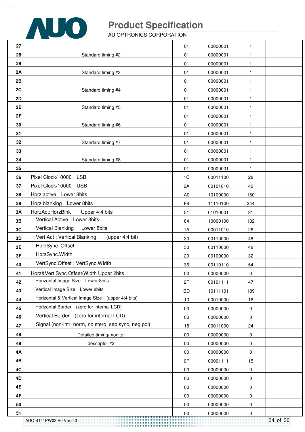

AU OPTRONICS CORPORATION

| 27 |                                                      | 01             | 00000001 | 1            |  |
|----|------------------------------------------------------|----------------|----------|--------------|--|
| 28 | Standard timing #2                                   | 01             | 00000001 | 1            |  |
| 29 |                                                      | 01             | 00000001 | $\mathbf{1}$ |  |
| 2A | Standard timing #3                                   | 01             | 00000001 | 1            |  |
| 2B |                                                      | 01             | 00000001 | 1            |  |
| 2C | Standard timing #4                                   | 01             | 00000001 | 1            |  |
| 2D |                                                      | 01             | 00000001 | 1            |  |
| 2E | Standard timing #5                                   | 01             | 00000001 | 1            |  |
| 2F |                                                      | 01             | 00000001 | $\mathbf{1}$ |  |
| 30 | Standard timing #6                                   | 01             | 00000001 | 1            |  |
| 31 |                                                      | 01             | 00000001 | 1            |  |
| 32 | Standard timing #7                                   | 01             | 00000001 | 1            |  |
| 33 |                                                      | 01             | 00000001 | 1            |  |
| 34 | Standard timing #8                                   | 01             | 00000001 | $\mathbf{1}$ |  |
| 35 |                                                      | 01             | 00000001 | 1            |  |
| 36 | Pixel Clock/10000 LSB                                | 1 <sup>C</sup> | 00011100 | 28           |  |
| 37 | Pixel Clock/10000<br><b>USB</b>                      | 2A             | 00101010 | 42           |  |
| 38 | Horz active Lower 8bits                              | A <sub>0</sub> | 10100000 | 160          |  |
| 39 | Horz blanking Lower 8bits                            | F <sub>4</sub> | 11110100 | 244          |  |
| 3A | HorzAct:HorzBlnk<br>Upper 4:4 bits                   | 51             | 01010001 | 81           |  |
| 3B | Vertical Active Lower 8bits                          | 84             | 10000100 | 132          |  |
| 3C | Vertical Blanking<br>Lower 8bits                     | 1A             | 00011010 | 26           |  |
| 3D | Vert Act: Vertical Blanking<br>(upper 4:4 bit)       | 30             | 00110000 | 48           |  |
| 3E | HorzSync. Offset                                     | 30             | 00110000 | 48           |  |
| 3F | HorzSync. Width                                      | 20             | 00100000 | 32           |  |
| 40 | VertSync.Offset: VertSync.Width                      | 36             | 00110110 | 54           |  |
| 41 | Horz‖ Sync Offset/Width Upper 2bits                  | $00\,$         | 00000000 | $\pmb{0}$    |  |
| 42 | Horizontal Image Size Lower 8bits                    | 2F             | 00101111 | 47           |  |
| 43 | Vertical Image Size Lower 8bits                      | <b>BD</b>      | 10111101 | 189          |  |
| 44 | Horizontal & Vertical Image Size (upper 4:4 bits)    | 10             | 00010000 | 16           |  |
| 45 | Horizontal Border (zero for internal LCD)            | 00             | 00000000 | 0            |  |
| 46 | Vertical Border (zero for internal LCD)              | $00\,$         | 00000000 | 0            |  |
| 47 | Signal (non-intr, norm, no stero, sep sync, neg pol) | 18             | 00011000 | 24           |  |
| 48 | Detailed timing/monitor                              | 00             | 00000000 | 0            |  |
| 49 | descriptor #2                                        | $00\,$         | 00000000 | 0            |  |
| 4Α |                                                      | 00             | 00000000 | 0            |  |
| 4B |                                                      | 0F             | 00001111 | 15           |  |
| 4C |                                                      | $00\,$         | 00000000 | 0            |  |
| 4D |                                                      | 00             | 00000000 | 0            |  |
| 4E |                                                      | $00\,$         | 00000000 | 0            |  |
| 4F |                                                      | $00\,$         | 00000000 | 0            |  |
| 50 |                                                      | $00\,$         | 00000000 | 0            |  |
| 51 |                                                      | $00\,$         | 00000000 | 0            |  |

 $\mathbf{r}$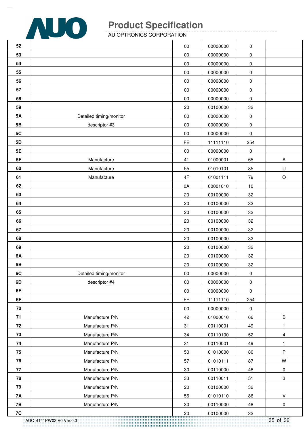

AU OPTRONICS CORPORATION

| 52        |                         | $00\,$        | 00000000 | $\pmb{0}$ |           |
|-----------|-------------------------|---------------|----------|-----------|-----------|
| 53        |                         | 00            | 00000000 | 0         |           |
| 54        |                         | 00            | 00000000 | 0         |           |
| 55        |                         | $00\,$        | 00000000 | $\pmb{0}$ |           |
| 56        |                         | 00            | 00000000 | 0         |           |
| 57        |                         | 00            | 00000000 | 0         |           |
| 58        |                         | $00\,$        | 00000000 | 0         |           |
| 59        |                         | 20            | 00100000 | 32        |           |
| <b>5A</b> | Detailed timing/monitor | 00            | 00000000 | 0         |           |
| 5B        | descriptor #3           | $00\,$        | 00000000 | $\pmb{0}$ |           |
| 5C        |                         | 00            | 00000000 | 0         |           |
| 5D        |                         | FE            | 11111110 | 254       |           |
| 5E        |                         | 00            | 00000000 | 0         |           |
| 5F        | Manufacture             | 41            | 01000001 | 65        | A         |
| 60        | Manufacture             | 55            | 01010101 | 85        | $\sf U$   |
| 61        | Manufacture             | $4\mathsf{F}$ | 01001111 | 79        | $\circ$   |
| 62        |                         | 0A            | 00001010 | 10        |           |
| 63        |                         | 20            | 00100000 | 32        |           |
| 64        |                         | $20\,$        | 00100000 | 32        |           |
| 65        |                         | 20            | 00100000 | 32        |           |
| 66        |                         | 20            | 00100000 | 32        |           |
| 67        |                         | $20\,$        | 00100000 | 32        |           |
| 68        |                         | $20\,$        | 00100000 | 32        |           |
| 69        |                         | 20            | 00100000 | 32        |           |
| 6A        |                         | 20            | 00100000 | 32        |           |
| 6B        |                         | 20            | 00100000 | 32        |           |
| 6C        | Detailed timing/monitor | $00\,$        | 00000000 | $\pmb{0}$ |           |
| 6D        | descriptor #4           | $00\,$        | 00000000 | $\pmb{0}$ |           |
| 6E        |                         | $00\,$        | 00000000 | 0         |           |
| 6F        |                         | <b>FE</b>     | 11111110 | 254       |           |
| 70        |                         | $00\,$        | 00000000 | 0         |           |
| 71        | Manufacture P/N         | 42            | 01000010 | 66        | $\sf B$   |
| $\bf 72$  | Manufacture P/N         | 31            | 00110001 | 49        | 1         |
| 73        | Manufacture P/N         | 34            | 00110100 | 52        | 4         |
| 74        | Manufacture P/N         | 31            | 00110001 | 49        | 1         |
| 75        | Manufacture P/N         | 50            | 01010000 | 80        | $\sf P$   |
| 76        | Manufacture P/N         | 57            | 01010111 | 87        | W         |
| 77        | Manufacture P/N         | 30            | 00110000 | 48        | $\pmb{0}$ |
| 78        | Manufacture P/N         | 33            | 00110011 | 51        | 3         |
| 79        | Manufacture P/N         | 20            | 00100000 | 32        |           |
| <b>7A</b> | Manufacture P/N         | 56            | 01010110 | 86        | $\vee$    |
| <b>7B</b> | Manufacture P/N         | 30            | 00110000 | 48        | 0         |
| 7C        |                         | 20            | 00100000 | 32        |           |